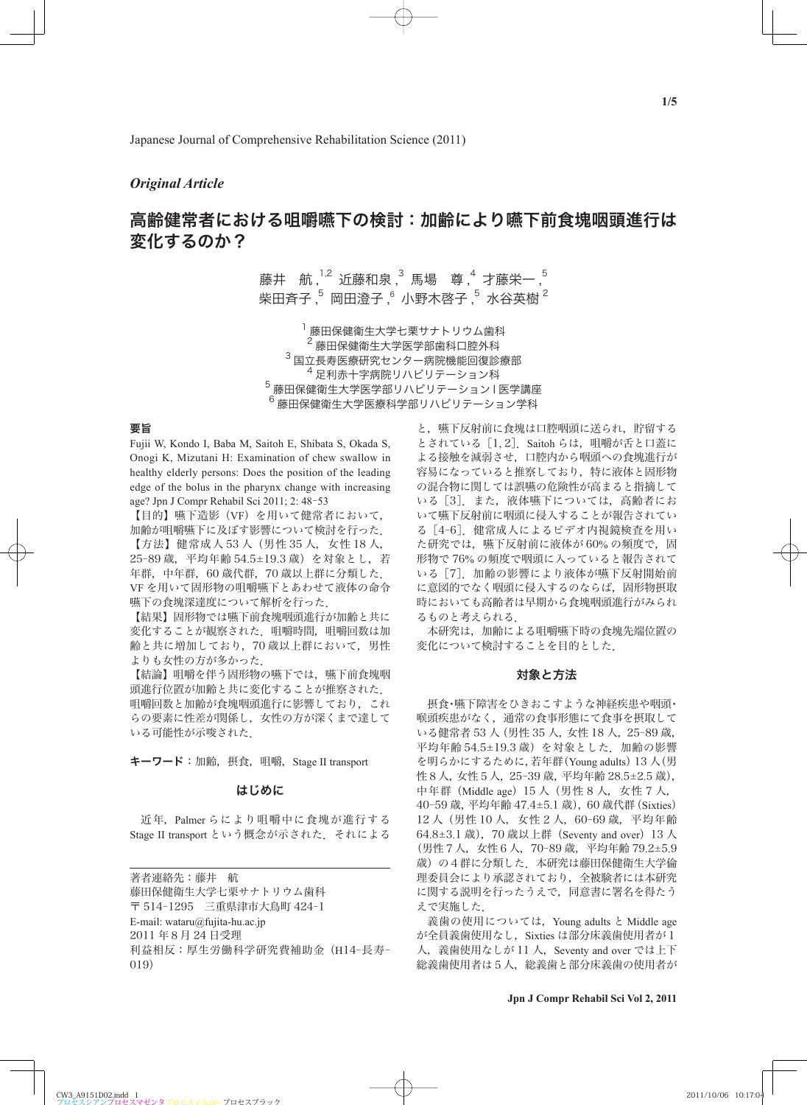## *Original Article*

# 高齢健常者における咀嚼嚥下の検討:加齢により嚥下前食塊咽頭進行は 変化するのか?

藤井 航,<sup>1,2</sup> 近藤和泉 ,<sup>3</sup> 馬場 尊 ,<sup>4</sup> 才藤栄一 ,<sup>5</sup> 柴田斉子 $\frac{5}{5}$  岡田澄子 $\frac{6}{5}$  小野木啓子 $\frac{5}{5}$  水谷英樹  $^2$ 

 藤田保健衛生大学七栗サナトリウム歯科 藤田保健衛生大学医学部歯科口腔外科  $3\,$ 国立長寿医療研究センター病院機能回復診療部 足利赤十字病院リハビリテーション科 藤田保健衛生大学医学部リハビリテーション I 医学講座 藤田保健衛生大学医療科学部リハビリテーション学科

## 要旨

Fujii W, Kondo I, Baba M, Saitoh E, Shibata S, Okada S, Onogi K, Mizutani H: Examination of chew swallow in healthy elderly persons: Does the position of the leading edge of the bolus in the pharynx change with increasing age? Jpn J Compr Rehabil Sci 2011; 2: 48-53

【目的】嚥下造影(VF)を用いて健常者において, 加齢が咀嚼嚥下に及ぼす影響について検討を行った.

【方法】健常成人 53 人(男性 35 人,女性 18 人, 25‒89 歳,平均年齢 54.5±19.3 歳)を対象とし,若 年群,中年群,60 歳代群,70 歳以上群に分類した. VF を用いて固形物の咀嚼嚥下とあわせて液体の命令 嚥下の食塊深達度について解析を行った.

【結果】固形物では嚥下前食塊咽頭進行が加齢と共に 変化することが観察された.咀嚼時間,咀嚼回数は加 齢と共に増加しており,70 歳以上群において,男性 よりも女性の方が多かった.

【結論】咀嚼を伴う固形物の嚥下では、嚥下前食塊咽 頭進行位置が加齢と共に変化することが推察された. 咀嚼回数と加齢が食塊咽頭進行に影響しており,これ らの要素に性差が関係し,女性の方が深くまで達して いる可能性が示唆された.

キーワード:加齢,摂食,咀嚼, Stage II transport

## はじめに

 近年,Palmer らにより咀嚼中に食塊が進行する Stage II transport という概念が示された.それによる

著者連絡先:藤井 航 藤田保健衛生大学七栗サナトリウム歯科 〒 514‒1295 三重県津市大鳥町 424‒1 E-mail: wataru@fujita-hu.ac.jp 2011 年8月 24 日受理 利益相反:厚生労働科学研究費補助金 (H14-長寿-019)

と,嚥下反射前に食塊は口腔咽頭に送られ,貯留する とされている[1, 2].Saitoh らは,咀嚼が舌と口蓋に よる接触を減弱させ,口腔内から咽頭への食塊進行が 容易になっていると推察しており,特に液体と固形物 の混合物に関しては誤嚥の危険性が高まると指摘して いる「3]また、液体嚥下については、高齢者にお いて嚥下反射前に咽頭に侵入することが報告されてい る「4-6]. 健常成人によるビデオ内視鏡検査を用い た研究では、嚥下反射前に液体が 60% の頻度で、固 形物で 76% の頻度で咽頭に入っていると報告されて いる「7]. 加齢の影響により液体が嚥下反射開始前 に意図的でなく咽頭に侵入するのならば,固形物摂取 時においても高齢者は早期から食塊咽頭進行がみられ るものと考えられる.

 本研究は,加齢による咀嚼嚥下時の食塊先端位置の 変化について検討することを目的とした.

## 対象と方法

 摂食・嚥下障害をひきおこすような神経疾患や咽頭・ 喉頭疾患がなく,通常の食事形態にて食事を摂取して いる健常者 53 人(男性 35 人,女性 18 人,25‒89 歳, 平均年齢 54.5±19.3 歳)を対象とした.加齢の影響 を明らかにするために,若年群(Young adults)13 人(男 性8人,女性5人,25‒39 歳,平均年齢 28.5±2.5 歳), 中年群(Middle age)15 人(男性8人,女性7人, 40‒59 歳,平均年齢 47.4±5.1 歳),60 歳代群(Sixties) 12 人(男性 10 人,女性2人,60‒69 歳,平均年齢 64.8±3.1 歳), 70 歳以上群 (Seventy and over) 13 人 (男性7人,女性6人,70‒89 歳,平均年齢 79.2±5.9 歳)の4群に分類した.本研究は藤田保健衛生大学倫 理委員会により承認されており,全被験者には本研究 に関する説明を行ったうえで,同意書に署名を得たう えで実施した.

 義歯の使用については,Young adults と Middle age が全員義歯使用なし、Sixties は部分床義歯使用者が1 人, 義歯使用なしが 11 人, Seventy and over では上下 総義歯使用者は5人,総義歯と部分床義歯の使用者が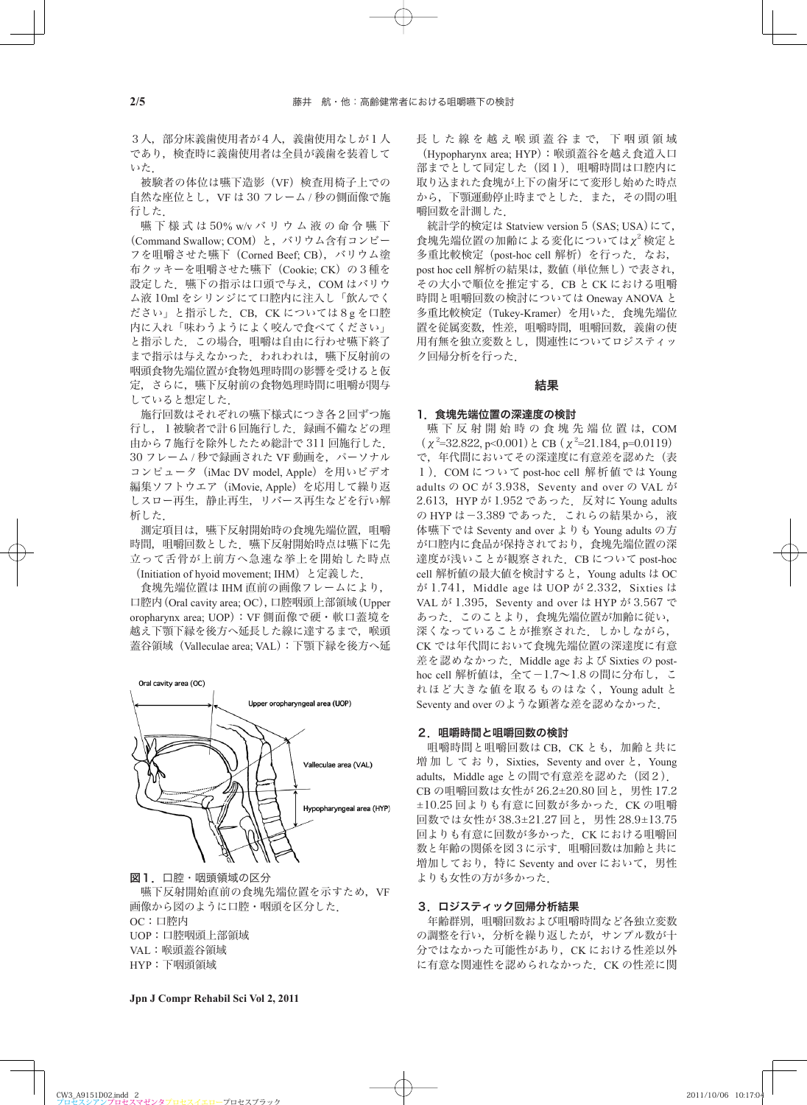3人,部分床義歯使用者が4人,義歯使用なしが1人 であり、検査時に義歯使用者は全員が義歯を装着して いた.

 被験者の体位は嚥下造影(VF)検査用椅子上での 自然な座位とし, VF は 30 フレーム / 秒の側面像で施 行した.

 嚥 下 様 式 は 50% w/v バリウム液の命令嚥下 (Command Swallow; COM) と, バリウム含有コンビー フを咀嚼させた嚥下(Corned Beef; CB),バリウム塗 布クッキーを咀嚼させた嚥下 (Cookie; CK)の3種を 設定した. 嚥下の指示は口頭で与え、COM はバリウ ム液 10ml をシリンジにて口腔内に注入し「飲んでく ださい」と指示した.CB,CK については8g を口腔 内に入れ「味わうようによく咬んで食べてください」 と指示した.この場合,咀嚼は自由に行わせ嚥下終了 まで指示は与えなかった. われわれは、嚥下反射前の 咽頭食物先端位置が食物処理時間の影響を受けると仮 定,さらに,嚥下反射前の食物処理時間に咀嚼が関与 していると想定した.

 施行回数はそれぞれの嚥下様式につき各2回ずつ施 行し、1被験者で計6回施行した. 録画不備などの理 由から7施行を除外したため総計で 311 回施行した. 30 フレーム / 秒で録画された VF 動画を, パーソナル コンピュータ (iMac DV model, Apple) を用いビデオ 編集ソフトウエア(iMovie, Apple)を応用して繰り返 しスロー再生,静止再生,リバース再生などを行い解 析した.

 測定項目は,嚥下反射開始時の食塊先端位置,咀嚼 時間、咀嚼回数とした. 嚥下反射開始時点は嚥下に先 立って舌骨が上前方へ急速な挙上を開始した時点 (Initiation of hyoid movement; IHM) と定義した.

 食塊先端位置は IHM 直前の画像フレームにより, 口腔内(Oral cavity area; OC),口腔咽頭上部領域(Upper oropharynx area; UOP):VF 側面像で硬・軟口蓋境を 越え下顎下縁を後方へ延長した線に達するまで,喉頭 蓋谷領域(Valleculae area; VAL):下顎下縁を後方へ延

Oral cavity area (OC)



Upper oropharyngeal area (UOP)

図1. 口腔・咽頭領域の区分 嚥下反射開始直前の食塊先端位置を示すため,VF 画像から図のように口腔・咽頭を区分した. OC:口腔内 UOP:口腔咽頭上部領域 VAL:喉頭蓋谷領域 HYP:下咽頭領域

長 し た 線 を 越 え 喉 頭 蓋 谷 ま で, 下 咽 頭 領 域 (Hypopharynx area; HYP):喉頭蓋谷を越え食道入口 部までとして同定した(図1). 咀嚼時間は口腔内に 取り込まれた食塊が上下の歯牙にて変形し始めた時点 から,下顎運動停止時までとした.また,その間の咀 嚼回数を計測した.

統計学的検定は Statview version 5 (SAS; USA)にて, 食塊先端位置の加齢による変化についてはχ2 検定と 多重比較検定 (post-hoc cell 解析)を行った. なお, post hoc cell 解析の結果は,数値(単位無し)で表され, その大小で順位を推定する.CB と CK における咀嚼 時間と咀嚼回数の検討については Oneway ANOVA と 多重比較検定 (Tukey-Kramer) を用いた. 食塊先端位 置を従属変数,性差,咀嚼時間,咀嚼回数,義歯の使 用有無を独立変数とし,関連性についてロジスティッ ク回帰分析を行った.

#### 結果

#### 1.食塊先端位置の深達度の検討

嚥下反射開始時の食塊先端位置は, COM  $(\chi^2=32.822, p<0.001) \geq \text{CB} (\chi^2=21.184, p=0.0119)$ で、年代間においてその深達度に有意差を認めた(表 1).COM について post-hoc cell 解析値では Young adults の OC が 3.938, Seventy and over の VAL が 2.613, HYP が 1.952 であった. 反対に Young adults の HYP は-3.389 であった. これらの結果から, 液 体嚥下では Seventy and over よりも Young adults の方 が口腔内に食品が保持されており,食塊先端位置の深 達度が浅いことが観察された. CB について post-hoc cell 解析値の最大値を検討すると,Young adults は OC  $\psi$ <sup>3</sup> 1.741, Middle age は UOP が 2.332, Sixties は VAL が 1.395, Seventy and over は HYP が 3.567 で あった.このことより,食塊先端位置が加齢に従い, 深くなっていることが推察された。 しかしながら, CK では年代間において食塊先端位置の深達度に有意 差を認めなかった. Middle age および Sixties の posthoc cell 解析値は、全て-1.7~1.8 の間に分布し、こ れほど大きな値を取るものはなく,Young adult と Seventy and over のような顕著な差を認めなかった.

#### 2.咀嚼時間と咀嚼回数の検討

咀嚼時間と咀嚼回数は CB, CK とも, 加齢と共に 増加しており, Sixties, Seventy and over と, Young adults, Middle age との間で有意差を認めた (図2). CB の咀嚼回数は女性が 26.2±20.80 回と,男性 17.2 ±10.25 回よりも有意に回数が多かった.CK の咀嚼 回数では女性が 38.3±21.27 回と,男性 28.9±13.75 回よりも有意に回数が多かった. CK における咀嚼回 数と年齢の関係を図3に示す.咀嚼回数は加齢と共に 増加しており,特に Seventy and over において,男性 よりも女性の方が多かった.

## 3.ロジスティック回帰分析結果

 年齢群別,咀嚼回数および咀嚼時間など各独立変数 の調整を行い,分析を繰り返したが,サンプル数が十 分ではなかった可能性があり、CK における性差以外 に有意な関連性を認められなかった. CK の性差に関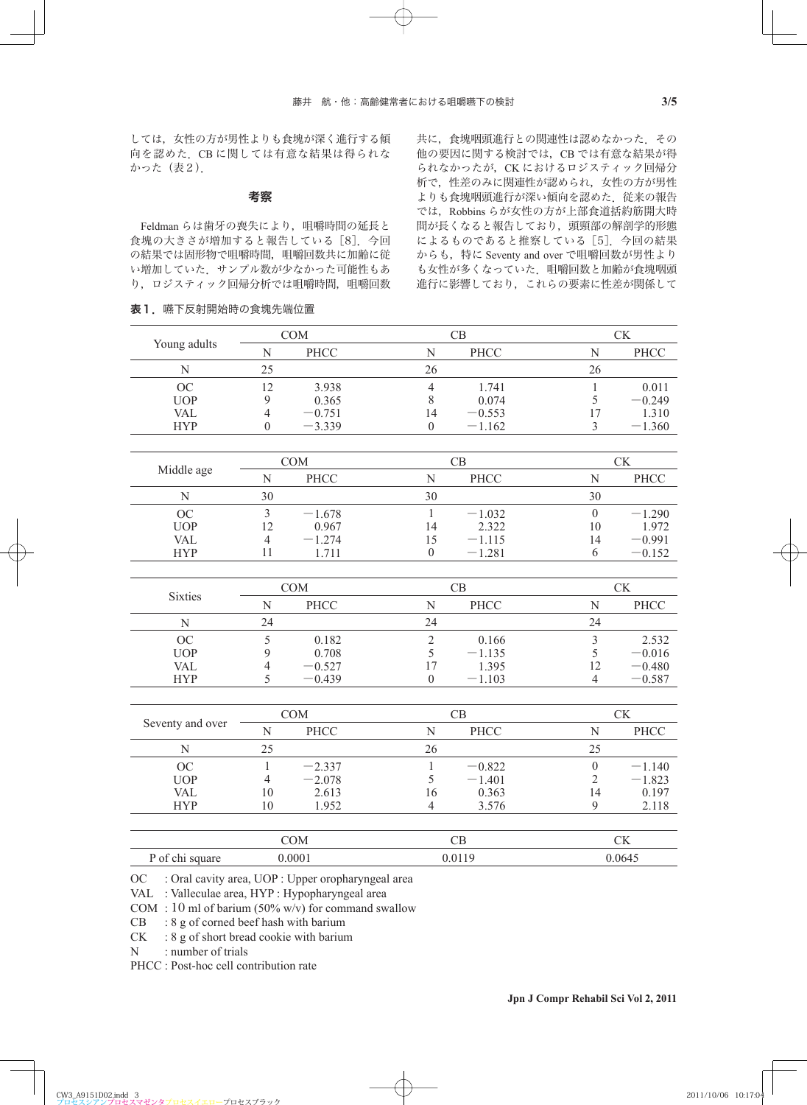しては,女性の方が男性よりも食塊が深く進行する傾 向を認めた.CB に関しては有意な結果は得られな かった(表2).

## 考察

Feldman らは歯牙の喪失により、咀嚼時間の延長と 食塊の大きさが増加すると報告している「8]. 今回 の結果では固形物で咀嚼時間、咀嚼回数共に加齢に従 い増加していた.サンプル数が少なかった可能性もあ り、ロジスティック回帰分析では咀嚼時間, 咀嚼回数

表1. 嚥下反射開始時の食塊先端位置

共に,食塊咽頭進行との関連性は認めなかった.その 他の要因に関する検討では,CB では有意な結果が得 られなかったが、CK におけるロジスティック回帰分 析で,性差のみに関連性が認められ,女性の方が男性 よりも食塊咽頭進行が深い傾向を認めた、従来の報告 では,Robbins らが女性の方が上部食道括約筋開大時 間が長くなると報告しており,頭頸部の解剖学的形態 によるものであると推察している「5]. 今回の結果 からも,特に Seventy and over で咀嚼回数が男性より も女性が多くなっていた. 咀嚼回数と加齢が食塊咽頭 進行に影響しており,これらの要素に性差が関係して

| Young adults     | $\mathop{\rm COM}\nolimits$ |          | CB                           | CK               |          |
|------------------|-----------------------------|----------|------------------------------|------------------|----------|
|                  | N                           | PHCC     | PHCC<br>N                    | ${\bf N}$        | PHCC     |
| ${\bf N}$        | 25                          |          | 26                           | 26               |          |
| OC               | 12                          | 3.938    | $\overline{4}$<br>1.741      | $\mathbf{1}$     | 0.011    |
| <b>UOP</b>       | 9                           | 0.365    | 8<br>0.074                   | 5                | $-0.249$ |
| <b>VAL</b>       | $\overline{4}$              | $-0.751$ | 14<br>$-0.553$               | 17               | 1.310    |
| <b>HYP</b>       | $\boldsymbol{0}$            | $-3.339$ | $\boldsymbol{0}$<br>$-1.162$ | 3                | $-1.360$ |
|                  |                             |          |                              |                  |          |
| Middle age       | <b>COM</b>                  |          | CB                           | CK               |          |
|                  | $\mathbf N$                 | PHCC     | PHCC<br>N                    | N                | PHCC     |
| ${\bf N}$        | 30                          |          | 30                           | 30               |          |
| OC               | $\overline{3}$              | $-1.678$ | $\,1\,$<br>$-1.032$          | $\boldsymbol{0}$ | $-1.290$ |
| <b>UOP</b>       | 12                          | 0.967    | 14<br>2.322                  | 10               | 1.972    |
| <b>VAL</b>       | $\overline{4}$              | $-1.274$ | 15<br>$-1.115$               | 14               | $-0.991$ |
| <b>HYP</b>       | 11                          | 1.711    | $\boldsymbol{0}$<br>$-1.281$ | 6                | $-0.152$ |
|                  |                             |          |                              |                  |          |
| <b>Sixties</b>   | COM                         |          | CB                           | CK               |          |
|                  | $\overline{N}$              | PHCC     | PHCC<br>N                    | N                | PHCC     |
| N                | 24                          |          | 24                           | 24               |          |
| OC               | 5                           | 0.182    | $\overline{2}$<br>0.166      | $\overline{3}$   | 2.532    |
| <b>UOP</b>       | 9                           | 0.708    | 5<br>$-1.135$                | 5                | $-0.016$ |
| <b>VAL</b>       | 4                           | $-0.527$ | 17<br>1.395                  | 12               | $-0.480$ |
| <b>HYP</b>       | 5                           | $-0.439$ | $\boldsymbol{0}$<br>$-1.103$ | $\overline{4}$   | $-0.587$ |
|                  |                             |          |                              |                  |          |
| Seventy and over | COM                         |          | CB                           | CK               |          |
|                  | $\mathbf N$                 | PHCC     | $\overline{N}$<br>PHCC       | $\mathbf N$      | PHCC     |
| N                | 25                          |          | 26                           | 25               |          |
| OC               | $\mathbf{1}$                | $-2.337$ | $\mathbf{1}$<br>$-0.822$     | $\boldsymbol{0}$ | $-1.140$ |
| <b>UOP</b>       | 4                           | $-2.078$ | 5<br>$-1.401$                | $\overline{2}$   | $-1.823$ |
| <b>VAL</b>       | 10                          | 2.613    | 16<br>0.363                  | 14               | 0.197    |
| <b>HYP</b>       | 10                          | 1.952    | $\overline{4}$<br>3.576      | 9                | 2.118    |
|                  |                             |          |                              |                  |          |
|                  | <b>COM</b>                  |          | CB                           | CK               |          |

P of chi square 0.0001 0.00119 0.0645

OC : Oral cavity area, UOP : Upper oropharyngeal area

VAL : Valleculae area, HYP : Hypopharyngeal area

COM : 10 ml of barium (50% w/v) for command swallow

CB : 8 g of corned beef hash with barium

CK : 8 g of short bread cookie with barium

N : number of trials

PHCC : Post-hoc cell contribution rate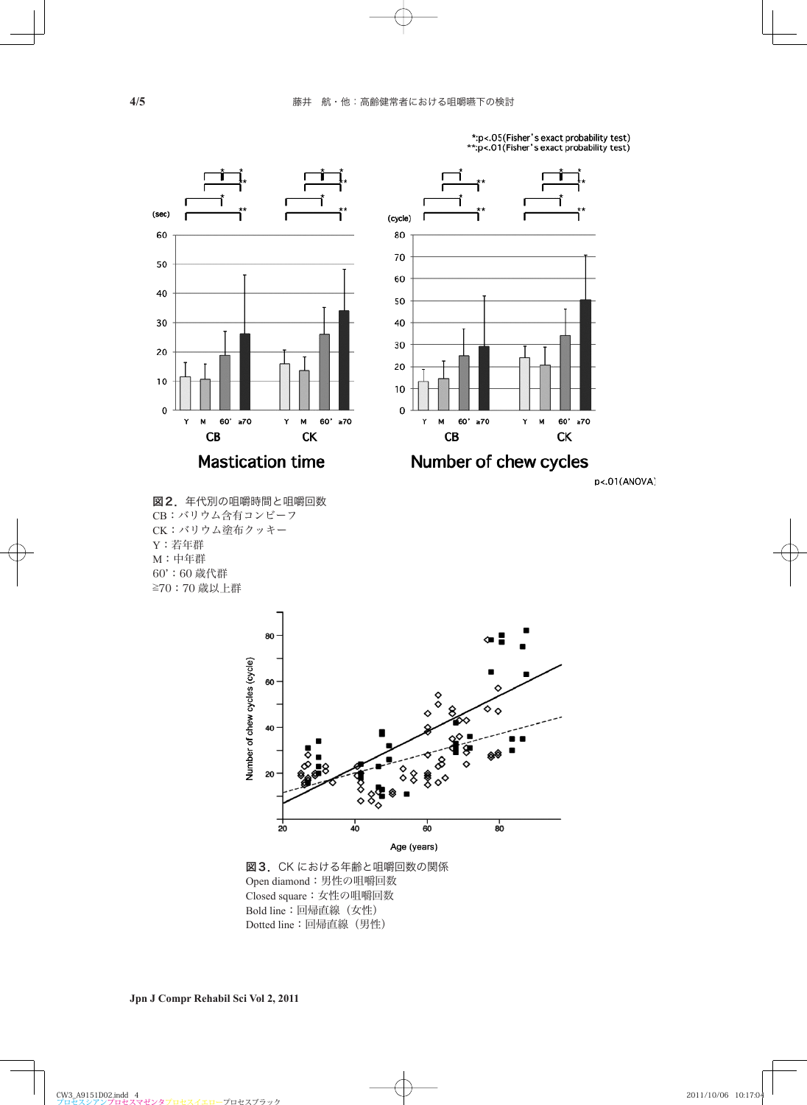

\*:p<.05(Fisher's exact probability test)<br>\*\*:p<.01(Fisher's exact probability test)







図3.CK における年齢と咀嚼回数の関係 Open diamond:男性の咀嚼回数 Closed square:女性の咀嚼回数 Bold line:回帰直線(女性) Dotted line:回帰直線(男性)